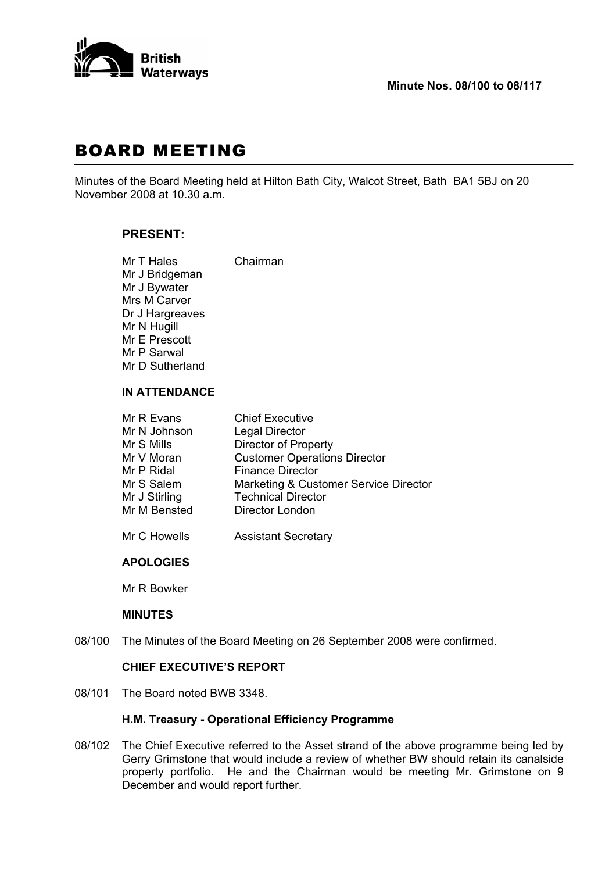

# BOARD MEETING

Minutes of the Board Meeting held at Hilton Bath City, Walcot Street, Bath BA1 5BJ on 20 November 2008 at 10.30 a.m.

## **PRESENT:**

| Mr T Hales      | Chairman |
|-----------------|----------|
| Mr J Bridgeman  |          |
| Mr J Bywater    |          |
| Mrs M Carver    |          |
| Dr J Hargreaves |          |
| Mr N Hugill     |          |
| Mr E Prescott   |          |
| Mr P Sarwal     |          |
| Mr D Sutherland |          |
|                 |          |

## **IN ATTENDANCE**

| Mr R Evans    | <b>Chief Executive</b>                |
|---------------|---------------------------------------|
| Mr N Johnson  | <b>Legal Director</b>                 |
| Mr S Mills    | <b>Director of Property</b>           |
| Mr V Moran    | <b>Customer Operations Director</b>   |
| Mr P Ridal    | <b>Finance Director</b>               |
| Mr S Salem    | Marketing & Customer Service Director |
| Mr J Stirling | <b>Technical Director</b>             |
| Mr M Bensted  | Director London                       |
|               |                                       |

Mr C Howells **Assistant Secretary** 

#### **APOLOGIES**

Mr R Bowker

#### **MINUTES**

08/100 The Minutes of the Board Meeting on 26 September 2008 were confirmed.

## **CHIEF EXECUTIVE'S REPORT**

08/101 The Board noted BWB 3348.

## **H.M. Treasury - Operational Efficiency Programme**

08/102 The Chief Executive referred to the Asset strand of the above programme being led by Gerry Grimstone that would include a review of whether BW should retain its canalside property portfolio. He and the Chairman would be meeting Mr. Grimstone on 9 December and would report further.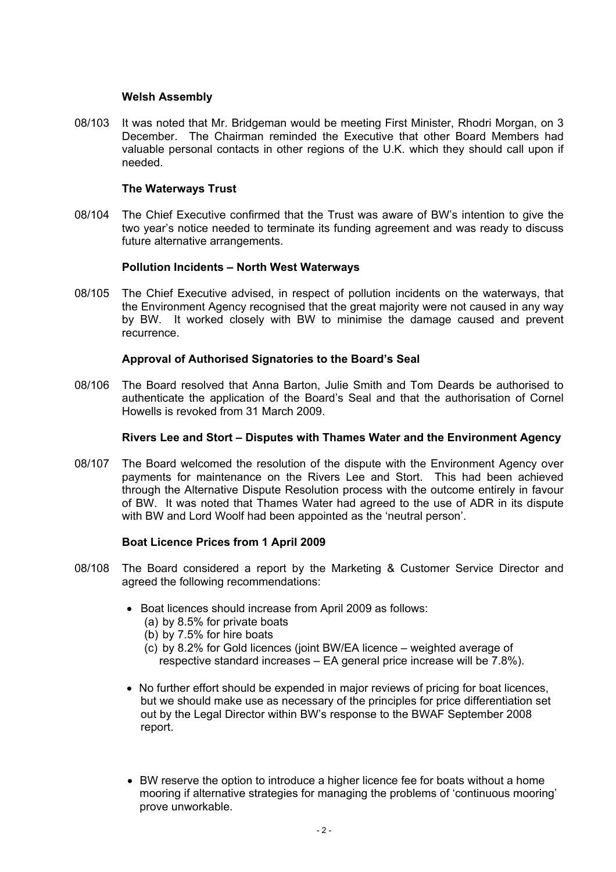#### **Welsh Assembly**

08/103 It was noted that Mr. Bridgeman would be meeting First Minister, Rhodri Morgan, on 3 December. The Chairman reminded the Executive that other Board Members had valuable personal contacts in other regions of the U.K. which they should call upon if needed.

## **The Waterways Trust**

08/104 The Chief Executive confirmed that the Trust was aware of BW's intention to give the two year's notice needed to terminate its funding agreement and was ready to discuss future alternative arrangements.

#### **Pollution Incidents – North West Waterways**

08/105 The Chief Executive advised, in respect of pollution incidents on the waterways, that the Environment Agency recognised that the great majority were not caused in any way by BW. It worked closely with BW to minimise the damage caused and prevent recurrence.

## **Approval of Authorised Signatories to the Board's Seal**

08/106 The Board resolved that Anna Barton, Julie Smith and Tom Deards be authorised to authenticate the application of the Board's Seal and that the authorisation of Cornel Howells is revoked from 31 March 2009.

#### **Rivers Lee and Stort – Disputes with Thames Water and the Environment Agency**

08/107 The Board welcomed the resolution of the dispute with the Environment Agency over payments for maintenance on the Rivers Lee and Stort. This had been achieved through the Alternative Dispute Resolution process with the outcome entirely in favour of BW. It was noted that Thames Water had agreed to the use of ADR in its dispute with BW and Lord Woolf had been appointed as the 'neutral person'.

## **Boat Licence Prices from 1 April 2009**

- 08/108 The Board considered a report by the Marketing & Customer Service Director and agreed the following recommendations:
	- Boat licences should increase from April 2009 as follows:
		- (a) by 8.5% for private boats
		- (b) by 7.5% for hire boats
		- (c) by 8.2% for Gold licences (joint BW/EA licence weighted average of respective standard increases – EA general price increase will be 7.8%).
	- No further effort should be expended in major reviews of pricing for boat licences, but we should make use as necessary of the principles for price differentiation set out by the Legal Director within BW's response to the BWAF September 2008 report.
	- BW reserve the option to introduce a higher licence fee for boats without a home mooring if alternative strategies for managing the problems of 'continuous mooring' prove unworkable.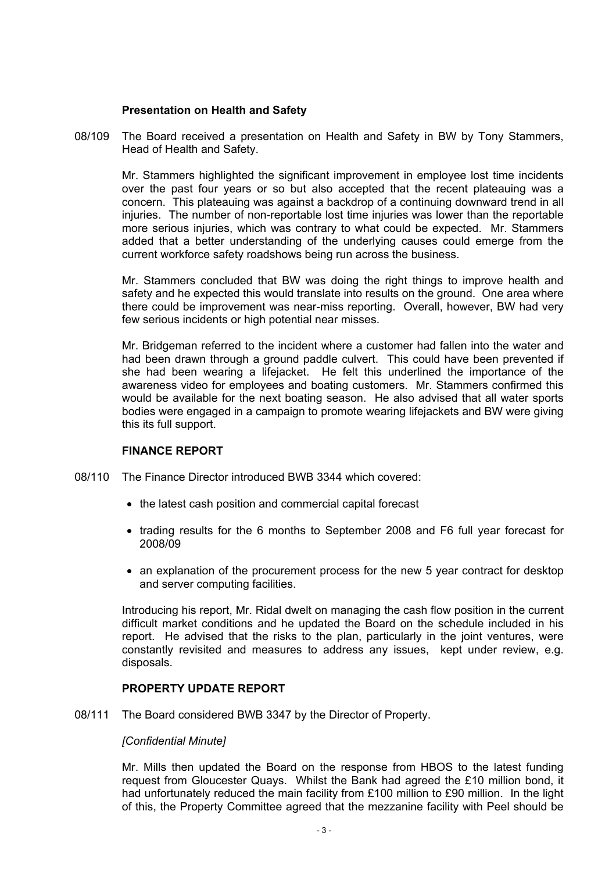#### **Presentation on Health and Safety**

08/109 The Board received a presentation on Health and Safety in BW by Tony Stammers, Head of Health and Safety.

 Mr. Stammers highlighted the significant improvement in employee lost time incidents over the past four years or so but also accepted that the recent plateauing was a concern. This plateauing was against a backdrop of a continuing downward trend in all injuries. The number of non-reportable lost time injuries was lower than the reportable more serious injuries, which was contrary to what could be expected. Mr. Stammers added that a better understanding of the underlying causes could emerge from the current workforce safety roadshows being run across the business.

 Mr. Stammers concluded that BW was doing the right things to improve health and safety and he expected this would translate into results on the ground. One area where there could be improvement was near-miss reporting. Overall, however, BW had very few serious incidents or high potential near misses.

 Mr. Bridgeman referred to the incident where a customer had fallen into the water and had been drawn through a ground paddle culvert. This could have been prevented if she had been wearing a lifejacket. He felt this underlined the importance of the awareness video for employees and boating customers. Mr. Stammers confirmed this would be available for the next boating season. He also advised that all water sports bodies were engaged in a campaign to promote wearing lifejackets and BW were giving this its full support.

## **FINANCE REPORT**

- 08/110 The Finance Director introduced BWB 3344 which covered:
	- the latest cash position and commercial capital forecast
	- trading results for the 6 months to September 2008 and F6 full year forecast for 2008/09
	- an explanation of the procurement process for the new 5 year contract for desktop and server computing facilities.

 Introducing his report, Mr. Ridal dwelt on managing the cash flow position in the current difficult market conditions and he updated the Board on the schedule included in his report. He advised that the risks to the plan, particularly in the joint ventures, were constantly revisited and measures to address any issues, kept under review, e.g. disposals.

#### **PROPERTY UPDATE REPORT**

08/111 The Board considered BWB 3347 by the Director of Property.

#### *[Confidential Minute]*

 Mr. Mills then updated the Board on the response from HBOS to the latest funding request from Gloucester Quays. Whilst the Bank had agreed the £10 million bond, it had unfortunately reduced the main facility from £100 million to £90 million. In the light of this, the Property Committee agreed that the mezzanine facility with Peel should be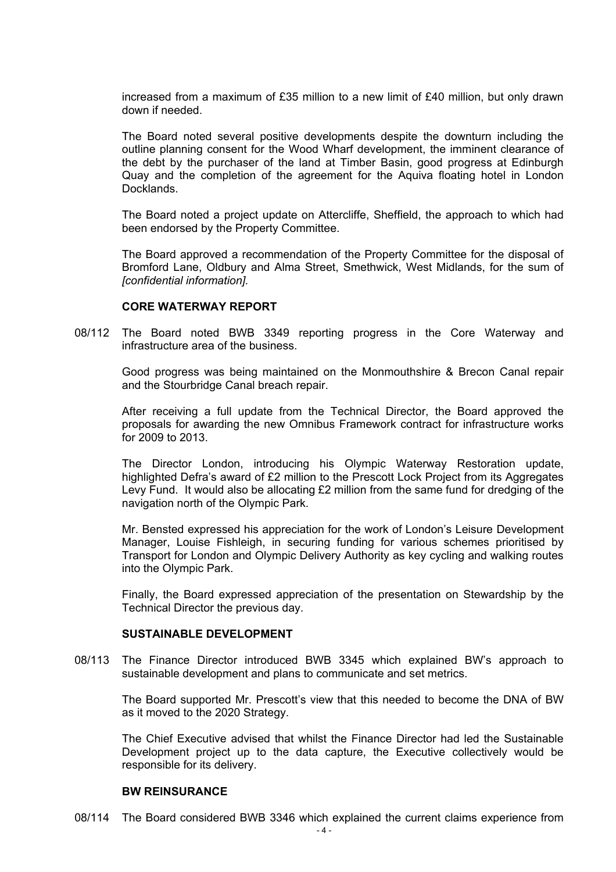increased from a maximum of £35 million to a new limit of £40 million, but only drawn down if needed.

 The Board noted several positive developments despite the downturn including the outline planning consent for the Wood Wharf development, the imminent clearance of the debt by the purchaser of the land at Timber Basin, good progress at Edinburgh Quay and the completion of the agreement for the Aquiva floating hotel in London **Docklands** 

 The Board noted a project update on Attercliffe, Sheffield, the approach to which had been endorsed by the Property Committee.

 The Board approved a recommendation of the Property Committee for the disposal of Bromford Lane, Oldbury and Alma Street, Smethwick, West Midlands, for the sum of *[confidential information].*

#### **CORE WATERWAY REPORT**

08/112 The Board noted BWB 3349 reporting progress in the Core Waterway and infrastructure area of the business.

 Good progress was being maintained on the Monmouthshire & Brecon Canal repair and the Stourbridge Canal breach repair.

 After receiving a full update from the Technical Director, the Board approved the proposals for awarding the new Omnibus Framework contract for infrastructure works for 2009 to 2013.

 The Director London, introducing his Olympic Waterway Restoration update, highlighted Defra's award of £2 million to the Prescott Lock Project from its Aggregates Levy Fund. It would also be allocating £2 million from the same fund for dredging of the navigation north of the Olympic Park.

 Mr. Bensted expressed his appreciation for the work of London's Leisure Development Manager, Louise Fishleigh, in securing funding for various schemes prioritised by Transport for London and Olympic Delivery Authority as key cycling and walking routes into the Olympic Park.

 Finally, the Board expressed appreciation of the presentation on Stewardship by the Technical Director the previous day.

#### **SUSTAINABLE DEVELOPMENT**

08/113 The Finance Director introduced BWB 3345 which explained BW's approach to sustainable development and plans to communicate and set metrics.

 The Board supported Mr. Prescott's view that this needed to become the DNA of BW as it moved to the 2020 Strategy.

 The Chief Executive advised that whilst the Finance Director had led the Sustainable Development project up to the data capture, the Executive collectively would be responsible for its delivery.

#### **BW REINSURANCE**

08/114 The Board considered BWB 3346 which explained the current claims experience from